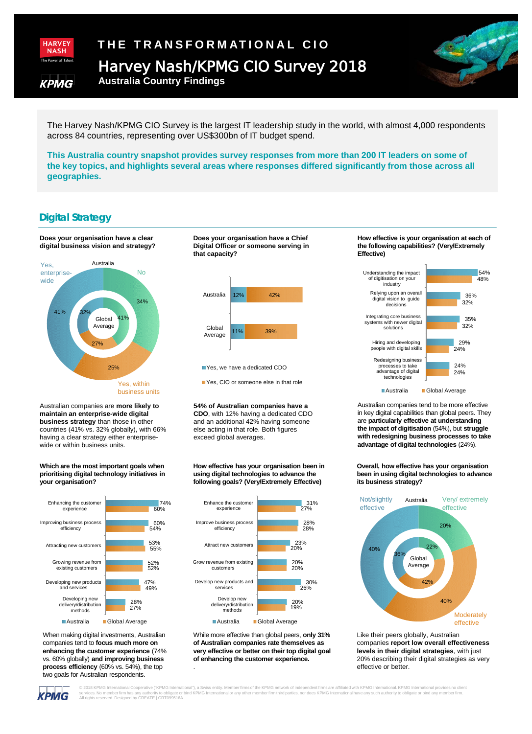

KPMG

# **THE TRANSFORMATIONAL CIO** Harvey Nash/KPMG CIO Survey 2018

**Australia Country Findings** 

 The Harvey Nash/KPMG CIO Survey is the largest IT leadership study in the world, with almost 4,000 respondents across 84 countries, representing over US\$300bn of IT budget spend.

 **This Australia country snapshot provides survey responses from more than 200 IT leaders on some of the key topics, and highlights several areas where responses differed significantly from those across all geographies.** 

## **Digital Strategy**

**Does your organisation have a clear digital business vision and strategy?** 



 Australian companies are **more likely to**  countries (41% vs. 32% globally), with 66% having a clear strategy either enterprise**maintain an enterprise-wide digital business strategy** than those in other wide or within business units.

#### **Which are the most important goals when prioritising digital technology initiatives in your organisation?**



 vs. 60% globally) **and improving business**  When making digital investments, Australian companies tend to **focus much more on enhancing the customer experience** (74% **process efficiency** (60% vs. 54%), the top two goals for Australian respondents.

#### **Digital Officer or someone serving in Does your organisation have a Chief that capacity?**



Yes, we have a dedicated CDO

PYes, CIO or someone else in that role

#### **54% of Australian companies have a**  exceed global averages. **CDO**, with 12% having a dedicated CDO and an additional 42% having someone else acting in that role. Both figures

#### **How effective has your organisation been in using digital technologies to advance the following goals? (Very/Extremely Effective)**



 While more effective than global peers, **only 31% of Australian companies rate themselves as very effective or better on their top digital goal of enhancing the customer experience.** 

.

#### **How effective is your organisation at each of the following capabilities? (Very/Extremely Effective)**

 $\mathbb{S}$ 



 in key digital capabilities than global peers. They  are **particularly effective at understanding the impact of digitisation** (54%), but **struggle**  Australian companies tend to be more effective **with redesigning business processes to take advantage of digital technologies** (24%).

 **been in using digital technologies to advance Overall, how effective has your organisation its business strategy?** 



Like their peers globally, Australian companies **report low overall effectiveness levels in their digital strategies**, with just 20% describing their digital strategies as very effective or better.